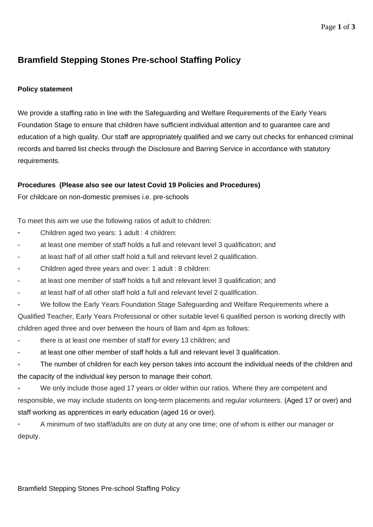## **Bramfield Stepping Stones Pre-school Staffing Policy**

## **Policy statement**

We provide a staffing ratio in line with the Safeguarding and Welfare Requirements of the Early Years Foundation Stage to ensure that children have sufficient individual attention and to guarantee care and education of a high quality. Our staff are appropriately qualified and we carry out checks for enhanced criminal records and barred list checks through the Disclosure and Barring Service in accordance with statutory requirements.

## **Procedures (Please also see our latest Covid 19 Policies and Procedures)**

For childcare on non-domestic premises i.e. pre-schools

To meet this aim we use the following ratios of adult to children:

- Children aged two years: 1 adult : 4 children:
- **-** at least one member of staff holds a full and relevant level 3 qualification; and
- **-** at least half of all other staff hold a full and relevant level 2 qualification.
- Children aged three years and over: 1 adult : 8 children:
- **-** at least one member of staff holds a full and relevant level 3 qualification; and
- **-** at least half of all other staff hold a full and relevant level 2 qualification.
- We follow the Early Years Foundation Stage Safeguarding and Welfare Requirements where a

Qualified Teacher, Early Years Professional or other suitable level 6 qualified person is working directly with children aged three and over between the hours of 8am and 4pm as follows:

- **-** there is at least one member of staff for every 13 children; and
- **-** at least one other member of staff holds a full and relevant level 3 qualification.
- The number of children for each key person takes into account the individual needs of the children and the capacity of the individual key person to manage their cohort.
- We only include those aged 17 years or older within our ratios. Where they are competent and responsible, we may include students on long-term placements and regular volunteers. (Aged 17 or over) and staff working as apprentices in early education (aged 16 or over).
- A minimum of two staff/adults are on duty at any one time; one of whom is either our manager or deputy.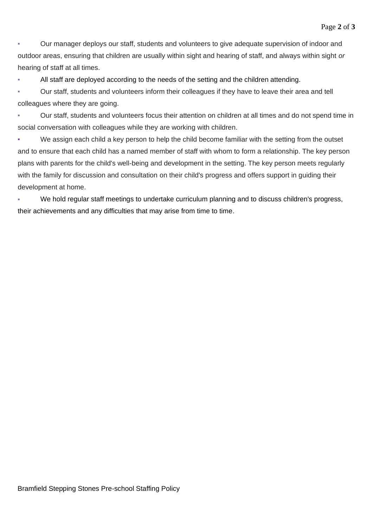Our manager deploys our staff, students and volunteers to give adequate supervision of indoor and outdoor areas, ensuring that children are usually within sight and hearing of staff, and always within sight *or*  hearing of staff at all times.

All staff are deployed according to the needs of the setting and the children attending.

Our staff, students and volunteers inform their colleagues if they have to leave their area and tell colleagues where they are going.

Our staff, students and volunteers focus their attention on children at all times and do not spend time in social conversation with colleagues while they are working with children.

• We assign each child a key person to help the child become familiar with the setting from the outset and to ensure that each child has a named member of staff with whom to form a relationship. The key person plans with parents for the child's well-being and development in the setting. The key person meets regularly with the family for discussion and consultation on their child's progress and offers support in guiding their development at home.

We hold regular staff meetings to undertake curriculum planning and to discuss children's progress, their achievements and any difficulties that may arise from time to time.